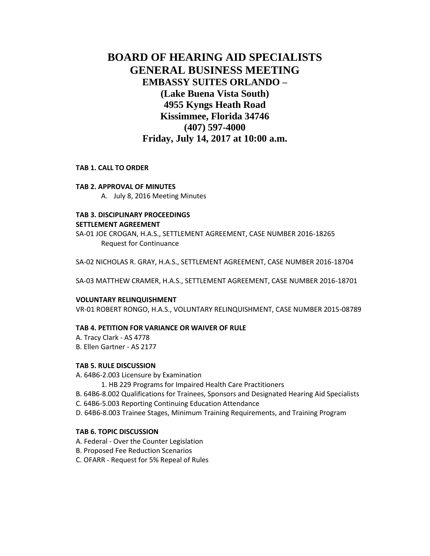# **BOARD OF HEARING AID SPECIALISTS GENERAL BUSINESS MEETING EMBASSY SUITES ORLANDO – (Lake Buena Vista South) 4955 Kyngs Heath Road Kissimmee, Florida 34746 (407) 597-4000 Friday, July 14, 2017 at 10:00 a.m.**

#### **TAB 1. CALL TO ORDER**

#### **TAB 2. APPROVAL OF MINUTES**

A. July 8, 2016 Meeting Minutes

## **TAB 3. DISCIPLINARY PROCEEDINGS SETTLEMENT AGREEMENT**

SA-01 JOE CROGAN, H.A.S., SETTLEMENT AGREEMENT, CASE NUMBER 2016-18265 Request for Continuance

SA-02 NICHOLAS R. GRAY, H.A.S., SETTLEMENT AGREEMENT, CASE NUMBER 2016-18704

SA-03 MATTHEW CRAMER, H.A.S., SETTLEMENT AGREEMENT, CASE NUMBER 2016-18701

#### **VOLUNTARY RELINQUISHMENT**

VR-01 ROBERT RONGO, H.A.S., VOLUNTARY RELINQUISHMENT, CASE NUMBER 2015-08789

#### **TAB 4. PETITION FOR VARIANCE OR WAIVER OF RULE**

A. Tracy Clark - AS 4778 B. Ellen Gartner - AS 2177

#### **TAB 5. RULE DISCUSSION**

A. 64B6-2.003 Licensure by Examination

- 1. HB 229 Programs for Impaired Health Care Practitioners
- B. 64B6-8.002 Qualifications for Trainees, Sponsors and Designated Hearing Aid Specialists
- C. 64B6-5.003 Reporting Continuing Education Attendance
- D. 64B6-8.003 Trainee Stages, Minimum Training Requirements, and Training Program

#### **TAB 6. TOPIC DISCUSSION**

- A. Federal Over the Counter Legislation
- B. Proposed Fee Reduction Scenarios
- C. OFARR Request for 5% Repeal of Rules